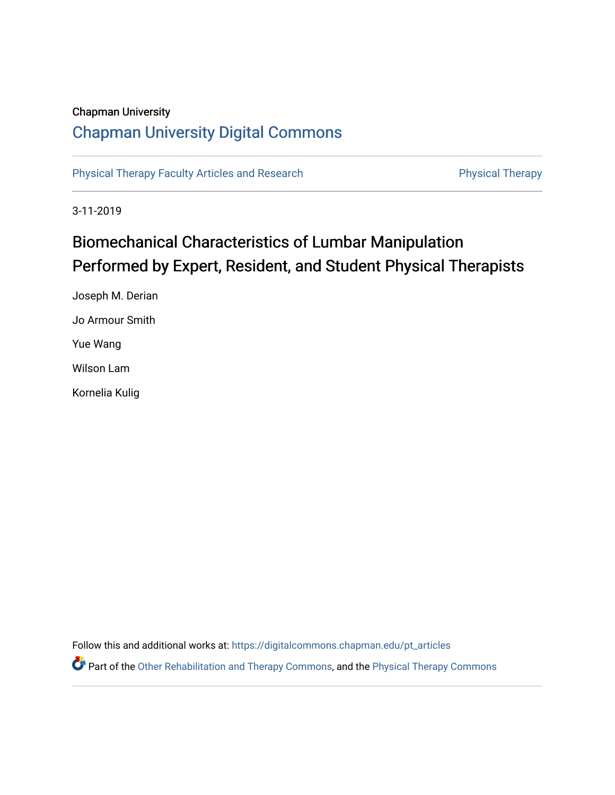## Chapman University

# [Chapman University Digital Commons](https://digitalcommons.chapman.edu/)

[Physical Therapy Faculty Articles and Research](https://digitalcommons.chapman.edu/pt_articles) **Physical Therapy** Physical Therapy

3-11-2019

# Biomechanical Characteristics of Lumbar Manipulation Performed by Expert, Resident, and Student Physical Therapists

Joseph M. Derian Jo Armour Smith Yue Wang Wilson Lam Kornelia Kulig

Follow this and additional works at: [https://digitalcommons.chapman.edu/pt\\_articles](https://digitalcommons.chapman.edu/pt_articles?utm_source=digitalcommons.chapman.edu%2Fpt_articles%2F126&utm_medium=PDF&utm_campaign=PDFCoverPages) 

Part of the [Other Rehabilitation and Therapy Commons,](http://network.bepress.com/hgg/discipline/758?utm_source=digitalcommons.chapman.edu%2Fpt_articles%2F126&utm_medium=PDF&utm_campaign=PDFCoverPages) and the [Physical Therapy Commons](http://network.bepress.com/hgg/discipline/754?utm_source=digitalcommons.chapman.edu%2Fpt_articles%2F126&utm_medium=PDF&utm_campaign=PDFCoverPages)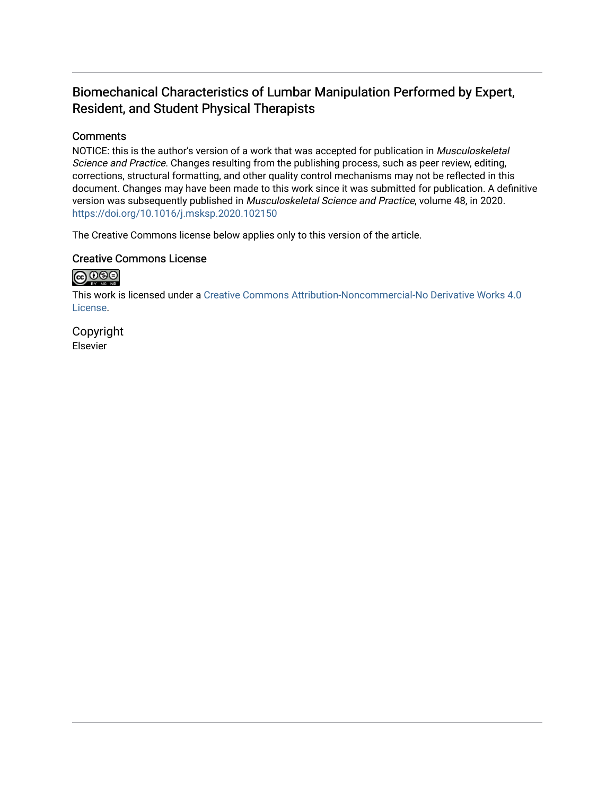# Biomechanical Characteristics of Lumbar Manipulation Performed by Expert, Resident, and Student Physical Therapists

#### **Comments**

NOTICE: this is the author's version of a work that was accepted for publication in Musculoskeletal Science and Practice. Changes resulting from the publishing process, such as peer review, editing, corrections, structural formatting, and other quality control mechanisms may not be reflected in this document. Changes may have been made to this work since it was submitted for publication. A definitive version was subsequently published in Musculoskeletal Science and Practice, volume 48, in 2020. <https://doi.org/10.1016/j.msksp.2020.102150>

The Creative Commons license below applies only to this version of the article.

#### Creative Commons License



This work is licensed under a [Creative Commons Attribution-Noncommercial-No Derivative Works 4.0](https://creativecommons.org/licenses/by-nc-nd/4.0/) [License](https://creativecommons.org/licenses/by-nc-nd/4.0/).

Copyright Elsevier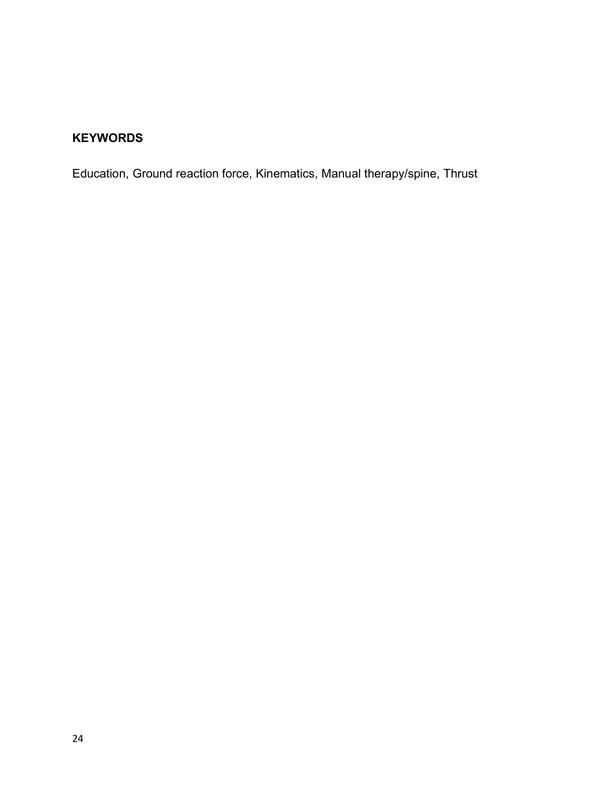# **KEYWORDS**

Education, Ground reaction force, Kinematics, Manual therapy/spine, Thrust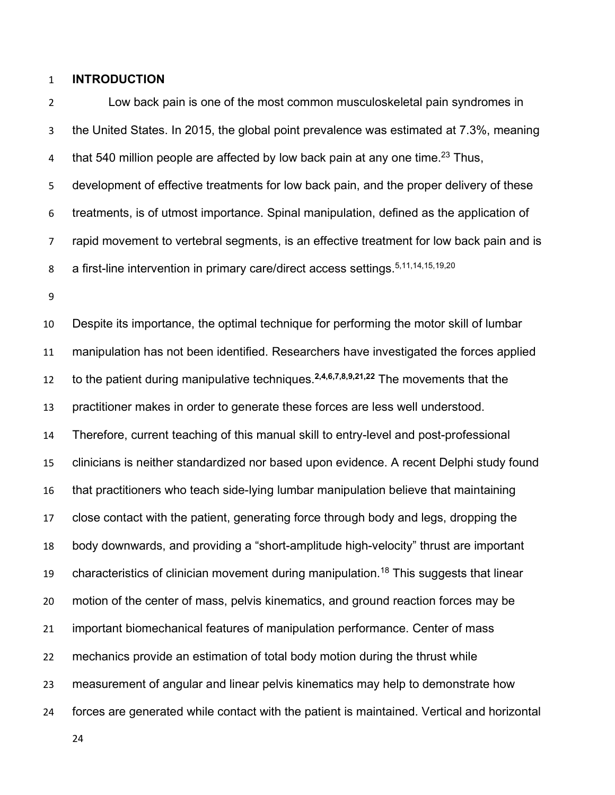#### **INTRODUCTION**

 Low back pain is one of the most common musculoskeletal pain syndromes in the United States. In 2015, the global point prevalence was estimated at 7.3%, meaning 4 that 540 million people are affected by low back pain at any one time.<sup>23</sup> Thus, development of effective treatments for low back pain, and the proper delivery of these treatments, is of utmost importance. Spinal manipulation, defined as the application of rapid movement to vertebral segments, is an effective treatment for low back pain and is a first-line intervention in primary care/direct access settings.5,11,14,15,19,20

 Despite its importance, the optimal technique for performing the motor skill of lumbar manipulation has not been identified. Researchers have investigated the forces applied 12 to the patient during manipulative techniques.<sup>2,4,6,7,8,9,21,22</sup> The movements that the practitioner makes in order to generate these forces are less well understood. Therefore, current teaching of this manual skill to entry-level and post-professional clinicians is neither standardized nor based upon evidence. A recent Delphi study found that practitioners who teach side-lying lumbar manipulation believe that maintaining close contact with the patient, generating force through body and legs, dropping the body downwards, and providing a "short-amplitude high-velocity" thrust are important 19 characteristics of clinician movement during manipulation.<sup>18</sup> This suggests that linear motion of the center of mass, pelvis kinematics, and ground reaction forces may be important biomechanical features of manipulation performance. Center of mass mechanics provide an estimation of total body motion during the thrust while measurement of angular and linear pelvis kinematics may help to demonstrate how forces are generated while contact with the patient is maintained. Vertical and horizontal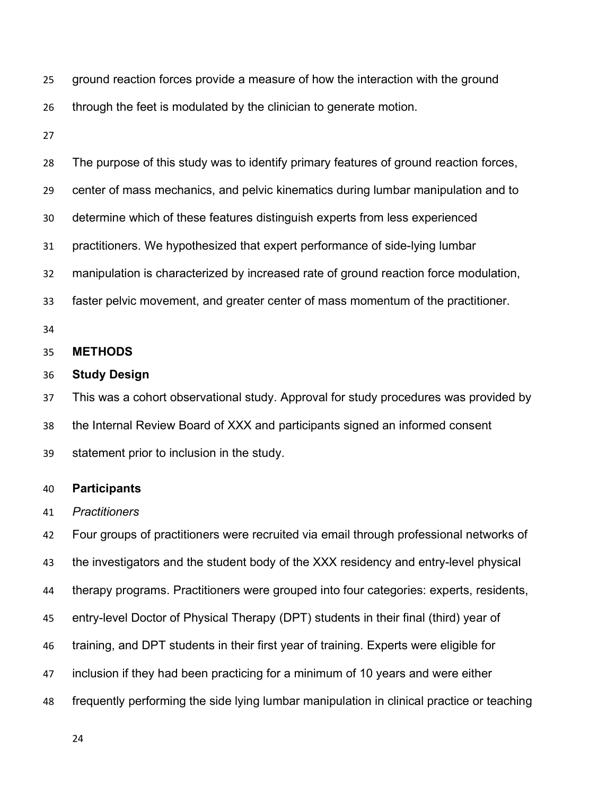| 25 ground reaction forces provide a measure of how the interaction with the ground |  |  |  |  |
|------------------------------------------------------------------------------------|--|--|--|--|
|                                                                                    |  |  |  |  |

through the feet is modulated by the clinician to generate motion.

| 28 | The purpose of this study was to identify primary features of ground reaction forces, |
|----|---------------------------------------------------------------------------------------|
| 29 | center of mass mechanics, and pelvic kinematics during lumbar manipulation and to     |
| 30 | determine which of these features distinguish experts from less experienced           |
| 31 | practitioners. We hypothesized that expert performance of side-lying lumbar           |
| 32 | manipulation is characterized by increased rate of ground reaction force modulation,  |
| 33 | faster pelvic movement, and greater center of mass momentum of the practitioner.      |
| 34 |                                                                                       |
| 35 | <b>METHODS</b>                                                                        |
| 36 | <b>Study Design</b>                                                                   |
| 37 | This was a cohort observational study. Approval for study procedures was provided by  |
| 38 | the Internal Review Board of XXX and participants signed an informed consent          |
| 39 | statement prior to inclusion in the study.                                            |

#### **Participants**

*Practitioners*

 Four groups of practitioners were recruited via email through professional networks of the investigators and the student body of the XXX residency and entry-level physical therapy programs. Practitioners were grouped into four categories: experts, residents, entry-level Doctor of Physical Therapy (DPT) students in their final (third) year of training, and DPT students in their first year of training. Experts were eligible for inclusion if they had been practicing for a minimum of 10 years and were either frequently performing the side lying lumbar manipulation in clinical practice or teaching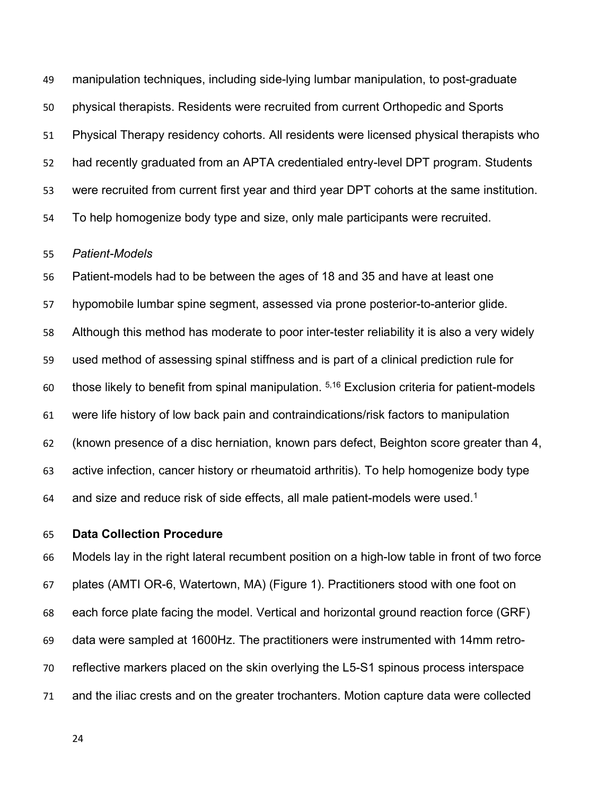manipulation techniques, including side-lying lumbar manipulation, to post-graduate physical therapists. Residents were recruited from current Orthopedic and Sports Physical Therapy residency cohorts. All residents were licensed physical therapists who had recently graduated from an APTA credentialed entry-level DPT program. Students were recruited from current first year and third year DPT cohorts at the same institution. To help homogenize body type and size, only male participants were recruited.

#### *Patient-Models*

 Patient-models had to be between the ages of 18 and 35 and have at least one hypomobile lumbar spine segment, assessed via prone posterior-to-anterior glide. Although this method has moderate to poor inter-tester reliability it is also a very widely used method of assessing spinal stiffness and is part of a clinical prediction rule for 60 those likely to benefit from spinal manipulation.  $5,16$  Exclusion criteria for patient-models were life history of low back pain and contraindications/risk factors to manipulation (known presence of a disc herniation, known pars defect, Beighton score greater than 4, active infection, cancer history or rheumatoid arthritis). To help homogenize body type 64 and size and reduce risk of side effects, all male patient-models were used.<sup>1</sup>

#### **Data Collection Procedure**

 Models lay in the right lateral recumbent position on a high-low table in front of two force plates (AMTI OR-6, Watertown, MA) (Figure 1). Practitioners stood with one foot on each force plate facing the model. Vertical and horizontal ground reaction force (GRF) data were sampled at 1600Hz. The practitioners were instrumented with 14mm retro- reflective markers placed on the skin overlying the L5-S1 spinous process interspace and the iliac crests and on the greater trochanters. Motion capture data were collected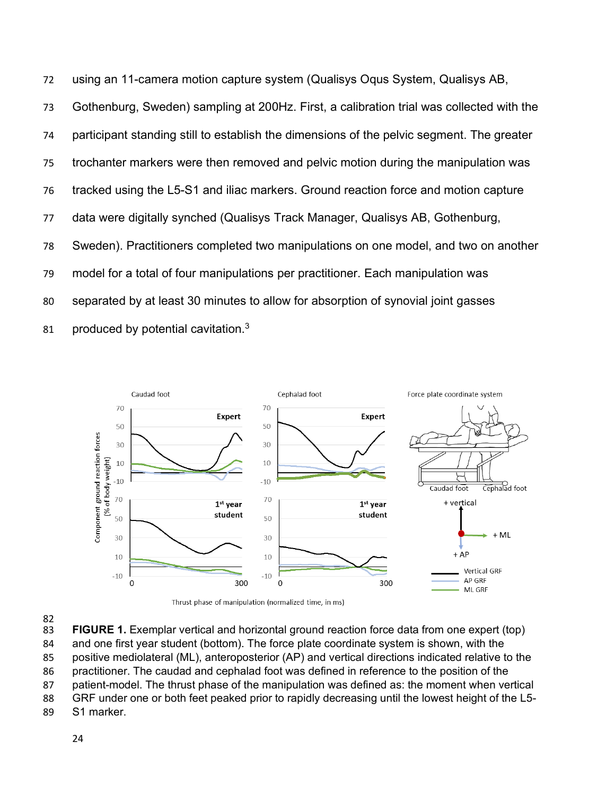using an 11-camera motion capture system (Qualisys Oqus System, Qualisys AB, Gothenburg, Sweden) sampling at 200Hz. First, a calibration trial was collected with the participant standing still to establish the dimensions of the pelvic segment. The greater trochanter markers were then removed and pelvic motion during the manipulation was tracked using the L5-S1 and iliac markers. Ground reaction force and motion capture data were digitally synched (Qualisys Track Manager, Qualisys AB, Gothenburg, Sweden). Practitioners completed two manipulations on one model, and two on another model for a total of four manipulations per practitioner. Each manipulation was separated by at least 30 minutes to allow for absorption of synovial joint gasses 81 produced by potential cavitation.



82<br>83

**FIGURE 1.** Exemplar vertical and horizontal ground reaction force data from one expert (top)

- and one first year student (bottom). The force plate coordinate system is shown, with the
- positive mediolateral (ML), anteroposterior (AP) and vertical directions indicated relative to the practitioner. The caudad and cephalad foot was defined in reference to the position of the
- patient-model. The thrust phase of the manipulation was defined as: the moment when vertical
- GRF under one or both feet peaked prior to rapidly decreasing until the lowest height of the L5-
- S1 marker.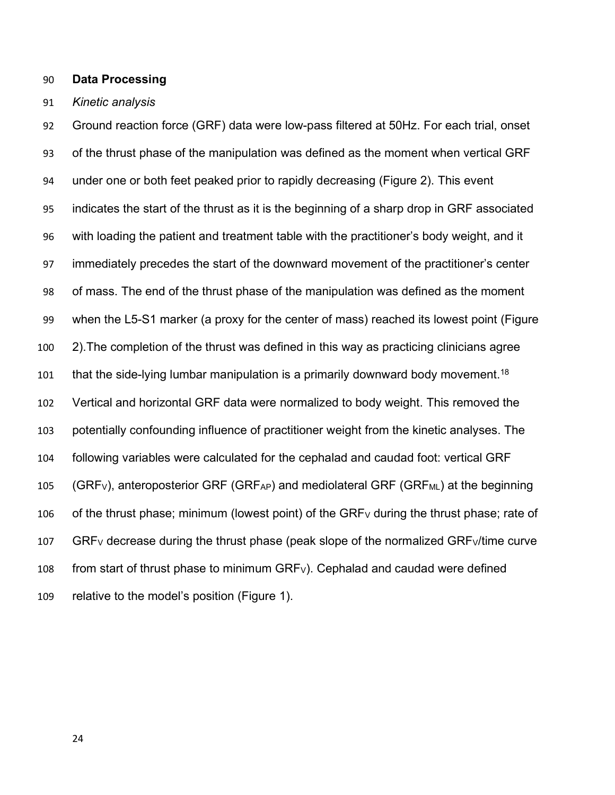#### **Data Processing**

#### *Kinetic analysis*

 Ground reaction force (GRF) data were low-pass filtered at 50Hz. For each trial, onset of the thrust phase of the manipulation was defined as the moment when vertical GRF under one or both feet peaked prior to rapidly decreasing (Figure 2). This event indicates the start of the thrust as it is the beginning of a sharp drop in GRF associated with loading the patient and treatment table with the practitioner's body weight, and it immediately precedes the start of the downward movement of the practitioner's center of mass. The end of the thrust phase of the manipulation was defined as the moment when the L5-S1 marker (a proxy for the center of mass) reached its lowest point (Figure 2).The completion of the thrust was defined in this way as practicing clinicians agree 101 that the side-lying lumbar manipulation is a primarily downward body movement.<sup>18</sup> Vertical and horizontal GRF data were normalized to body weight. This removed the potentially confounding influence of practitioner weight from the kinetic analyses. The following variables were calculated for the cephalad and caudad foot: vertical GRF 105 (GRFv), anteroposterior GRF (GRFAP) and mediolateral GRF (GRFML) at the beginning 106 of the thrust phase; minimum (lowest point) of the GRF<sub>V</sub> during the thrust phase; rate of 107 GRF<sub>V</sub> decrease during the thrust phase (peak slope of the normalized GRF $\frac{V}{t}$ time curve 108 from start of thrust phase to minimum  $GRF_V$ ). Cephalad and caudad were defined relative to the model's position (Figure 1).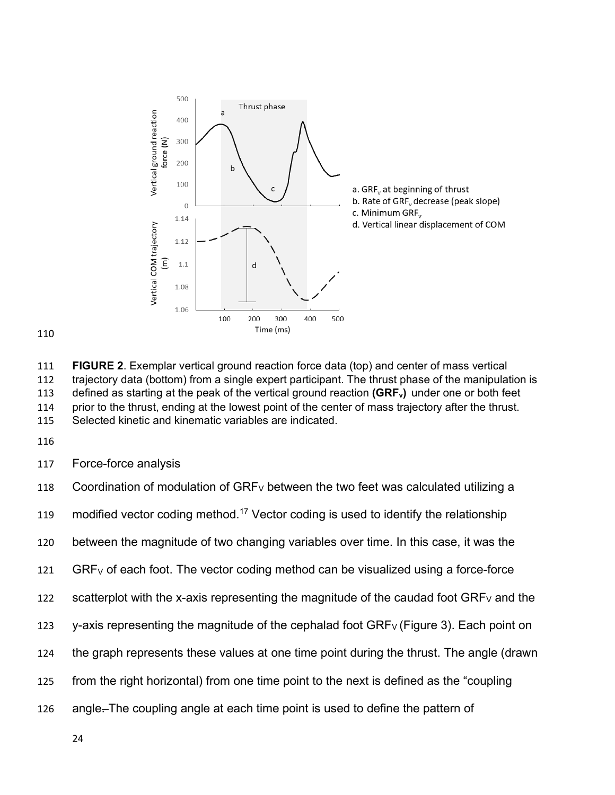



 **FIGURE 2**. Exemplar vertical ground reaction force data (top) and center of mass vertical trajectory data (bottom) from a single expert participant. The thrust phase of the manipulation is defined as starting at the peak of the vertical ground reaction **(GRFv)** under one or both feet prior to the thrust, ending at the lowest point of the center of mass trajectory after the thrust. Selected kinetic and kinematic variables are indicated.

Force-force analysis

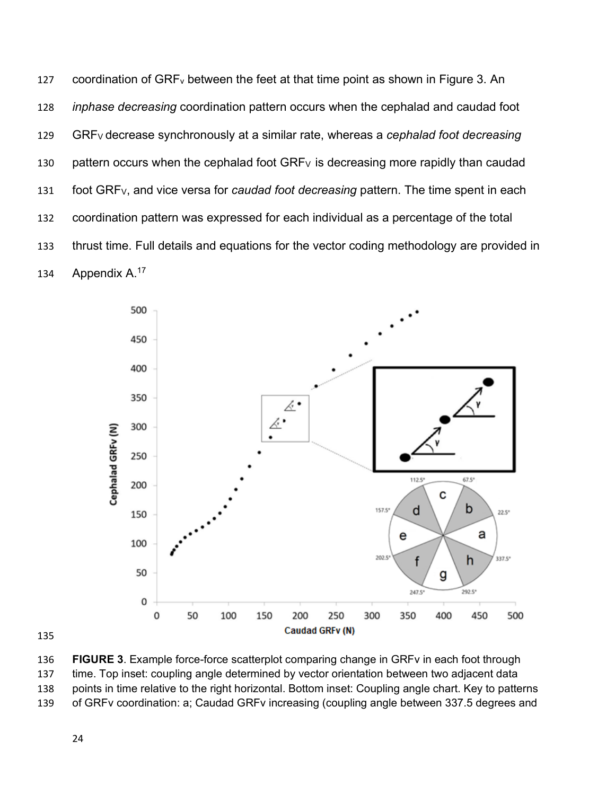127 coordination of  $GRF_v$  between the feet at that time point as shown in Figure 3. An *inphase decreasing* coordination pattern occurs when the cephalad and caudad foot GRFV decrease synchronously at a similar rate, whereas a *cephalad foot decreasing* 130 pattern occurs when the cephalad foot  $GRF_V$  is decreasing more rapidly than caudad foot GRFV, and vice versa for *caudad foot decreasing* pattern. The time spent in each coordination pattern was expressed for each individual as a percentage of the total thrust time. Full details and equations for the vector coding methodology are provided in 134 Appendix A.<sup>17</sup>



 **FIGURE 3**. Example force-force scatterplot comparing change in GRFv in each foot through time. Top inset: coupling angle determined by vector orientation between two adjacent data points in time relative to the right horizontal. Bottom inset: Coupling angle chart. Key to patterns of GRFv coordination: a; Caudad GRFv increasing (coupling angle between 337.5 degrees and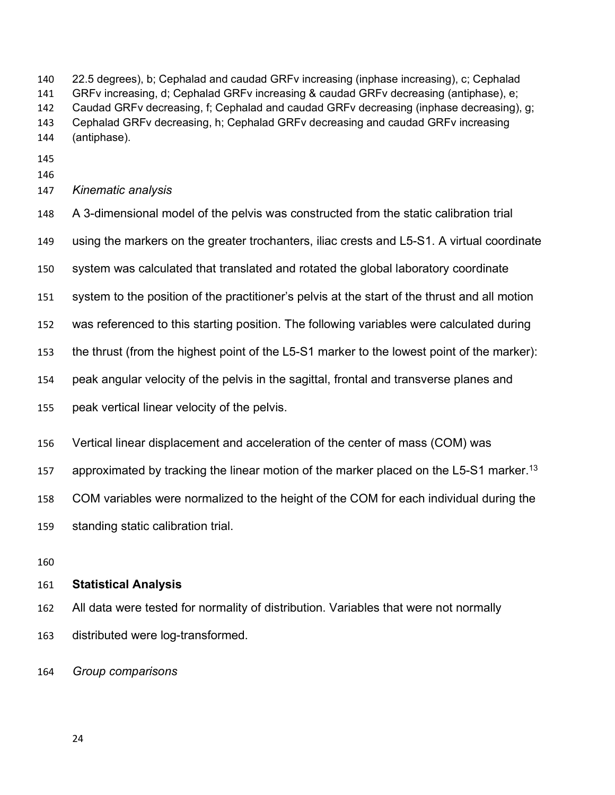22.5 degrees), b; Cephalad and caudad GRFv increasing (inphase increasing), c; Cephalad GRFv increasing, d; Cephalad GRFv increasing & caudad GRFv decreasing (antiphase), e; Caudad GRFv decreasing, f; Cephalad and caudad GRFv decreasing (inphase decreasing), g; Cephalad GRFv decreasing, h; Cephalad GRFv decreasing and caudad GRFv increasing (antiphase).

- 
- 
- *Kinematic analysis*
- A 3-dimensional model of the pelvis was constructed from the static calibration trial
- using the markers on the greater trochanters, iliac crests and L5-S1. A virtual coordinate
- system was calculated that translated and rotated the global laboratory coordinate
- system to the position of the practitioner's pelvis at the start of the thrust and all motion
- was referenced to this starting position. The following variables were calculated during
- the thrust (from the highest point of the L5-S1 marker to the lowest point of the marker):
- peak angular velocity of the pelvis in the sagittal, frontal and transverse planes and
- peak vertical linear velocity of the pelvis.
- Vertical linear displacement and acceleration of the center of mass (COM) was
- approximated by tracking the linear motion of the marker placed on the L5-S1 marker.<sup>13</sup>
- COM variables were normalized to the height of the COM for each individual during the
- standing static calibration trial.
- 

#### **Statistical Analysis**

- All data were tested for normality of distribution. Variables that were not normally distributed were log-transformed.
- *Group comparisons*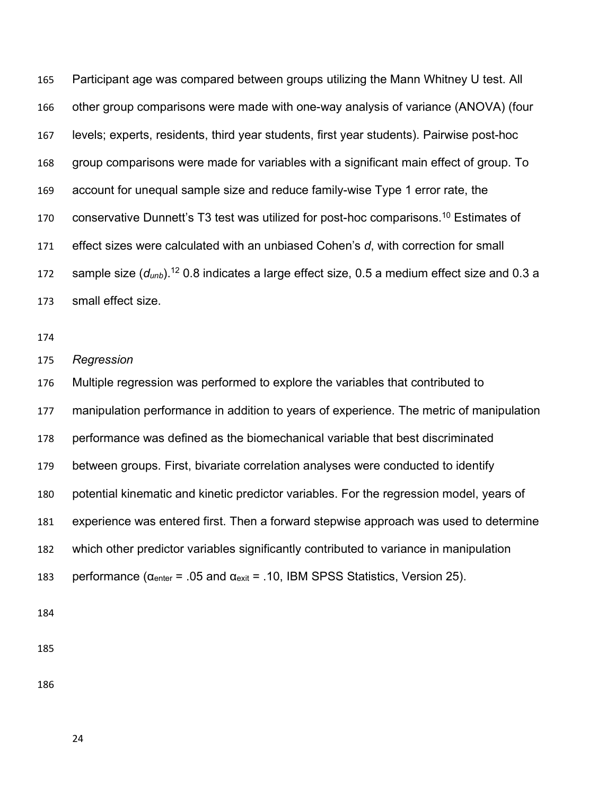Participant age was compared between groups utilizing the Mann Whitney U test. All other group comparisons were made with one-way analysis of variance (ANOVA) (four levels; experts, residents, third year students, first year students). Pairwise post-hoc group comparisons were made for variables with a significant main effect of group. To account for unequal sample size and reduce family-wise Type 1 error rate, the 170 conservative Dunnett's T3 test was utilized for post-hoc comparisons.<sup>10</sup> Estimates of effect sizes were calculated with an unbiased Cohen's *d*, with correction for small 172 sample size  $(d_{unb})$ .<sup>12</sup> 0.8 indicates a large effect size, 0.5 a medium effect size and 0.3 a small effect size.

*Regression*

 Multiple regression was performed to explore the variables that contributed to manipulation performance in addition to years of experience. The metric of manipulation performance was defined as the biomechanical variable that best discriminated between groups. First, bivariate correlation analyses were conducted to identify potential kinematic and kinetic predictor variables. For the regression model, years of experience was entered first. Then a forward stepwise approach was used to determine which other predictor variables significantly contributed to variance in manipulation 183 performance ( $\alpha_{\text{enter}}$  = .05 and  $\alpha_{\text{exit}}$  = .10, IBM SPSS Statistics, Version 25).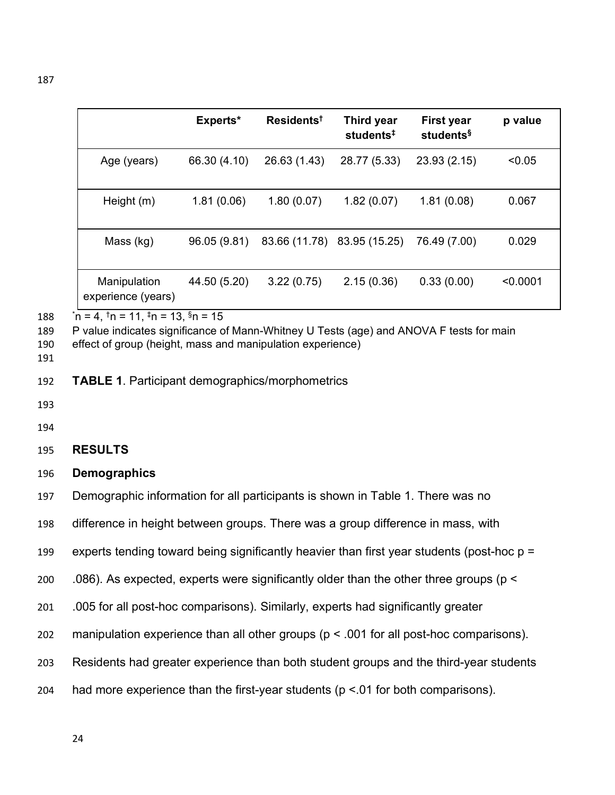|                                    | Experts*     | Residents <sup>†</sup>      | Third year<br>students <sup>#</sup> | <b>First year</b><br>students <sup>§</sup> | p value  |
|------------------------------------|--------------|-----------------------------|-------------------------------------|--------------------------------------------|----------|
| Age (years)                        | 66.30 (4.10) | 26.63 (1.43)                | 28.77 (5.33)                        | 23.93 (2.15)                               | < 0.05   |
| Height (m)                         | 1.81(0.06)   | 1.80(0.07)                  | 1.82(0.07)                          | 1.81(0.08)                                 | 0.067    |
| Mass (kg)                          | 96.05 (9.81) | 83.66 (11.78) 83.95 (15.25) |                                     | 76.49 (7.00)                               | 0.029    |
| Manipulation<br>experience (years) | 44.50 (5.20) | 3.22(0.75)                  | 2.15(0.36)                          | 0.33(0.00)                                 | < 0.0001 |

 $^{\circ}$  n = 4, <sup>†</sup>n = 11, <sup>‡</sup>n = 13, §n = 15

P value indicates significance of Mann-Whitney U Tests (age) and ANOVA F tests for main

effect of group (height, mass and manipulation experience)

**TABLE 1**. Participant demographics/morphometrics

- 
- 
- **RESULTS**
- **Demographics**
- Demographic information for all participants is shown in Table 1. There was no
- difference in height between groups. There was a group difference in mass, with
- experts tending toward being significantly heavier than first year students (post-hoc p =
- .086). As expected, experts were significantly older than the other three groups (p <
- .005 for all post-hoc comparisons). Similarly, experts had significantly greater
- manipulation experience than all other groups (p < .001 for all post-hoc comparisons).
- Residents had greater experience than both student groups and the third-year students
- had more experience than the first-year students (p <.01 for both comparisons).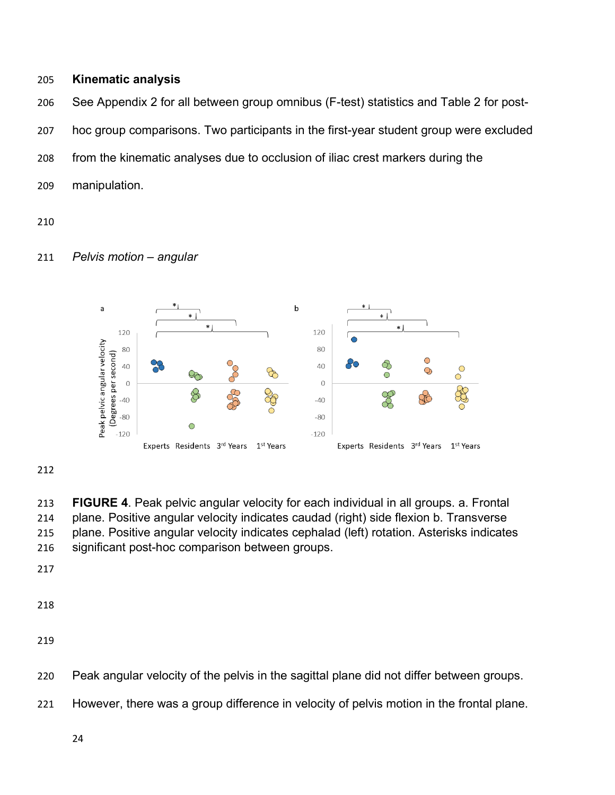#### **Kinematic analysis**

 See Appendix 2 for all between group omnibus (F-test) statistics and Table 2 for post- hoc group comparisons. Two participants in the first-year student group were excluded from the kinematic analyses due to occlusion of iliac crest markers during the manipulation.

#### *Pelvis motion – angular*



 **FIGURE 4**. Peak pelvic angular velocity for each individual in all groups. a. Frontal plane. Positive angular velocity indicates caudad (right) side flexion b. Transverse plane. Positive angular velocity indicates cephalad (left) rotation. Asterisks indicates significant post-hoc comparison between groups.

- Peak angular velocity of the pelvis in the sagittal plane did not differ between groups.
- However, there was a group difference in velocity of pelvis motion in the frontal plane.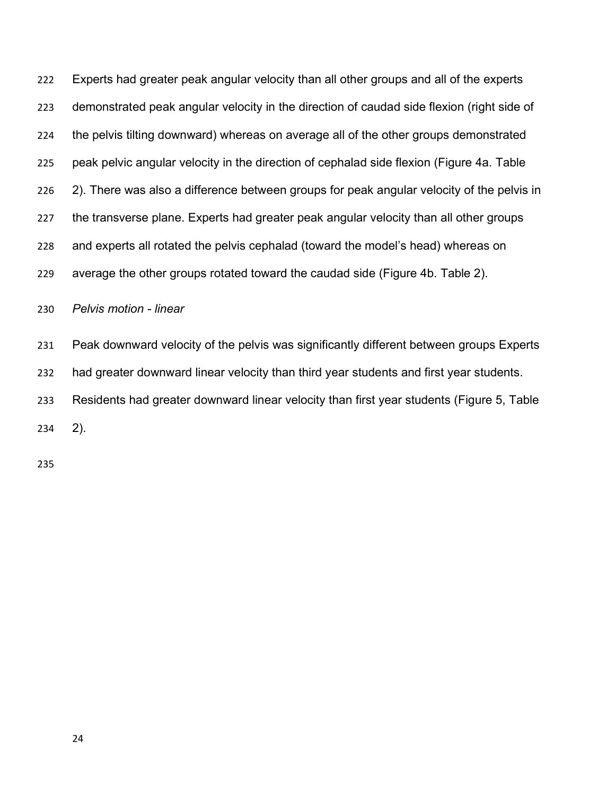Experts had greater peak angular velocity than all other groups and all of the experts demonstrated peak angular velocity in the direction of caudad side flexion (right side of the pelvis tilting downward) whereas on average all of the other groups demonstrated peak pelvic angular velocity in the direction of cephalad side flexion (Figure 4a. Table 2). There was also a difference between groups for peak angular velocity of the pelvis in the transverse plane. Experts had greater peak angular velocity than all other groups and experts all rotated the pelvis cephalad (toward the model's head) whereas on average the other groups rotated toward the caudad side (Figure 4b. Table 2).

*Pelvis motion - linear*

 Peak downward velocity of the pelvis was significantly different between groups Experts had greater downward linear velocity than third year students and first year students. Residents had greater downward linear velocity than first year students (Figure 5, Table 2).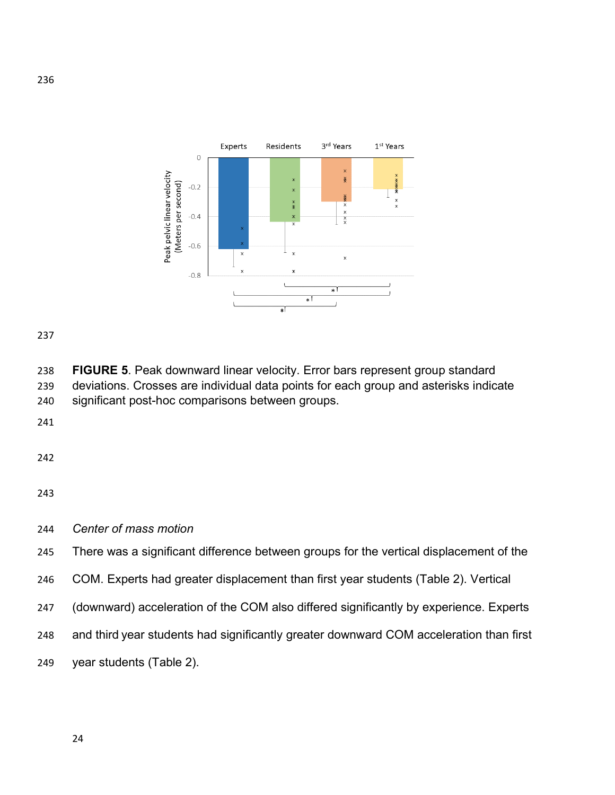

 **FIGURE 5**. Peak downward linear velocity. Error bars represent group standard deviations. Crosses are individual data points for each group and asterisks indicate significant post-hoc comparisons between groups.

*Center of mass motion*

There was a significant difference between groups for the vertical displacement of the

COM. Experts had greater displacement than first year students (Table 2). Vertical

(downward) acceleration of the COM also differed significantly by experience. Experts

and third year students had significantly greater downward COM acceleration than first

year students (Table 2).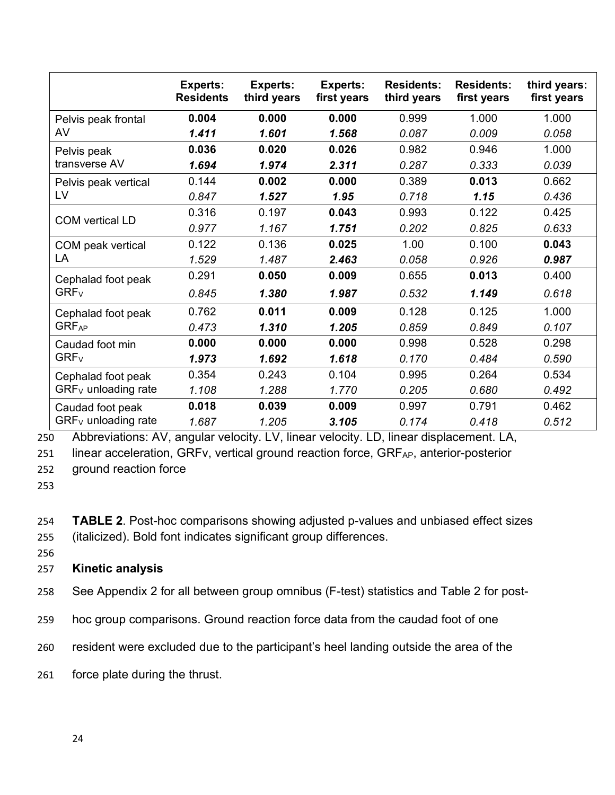|                         | <b>Experts:</b><br><b>Residents</b> | <b>Experts:</b><br>third years | <b>Experts:</b><br>first years | <b>Residents:</b><br>third years | <b>Residents:</b><br>first years | third years:<br>first years |
|-------------------------|-------------------------------------|--------------------------------|--------------------------------|----------------------------------|----------------------------------|-----------------------------|
| Pelvis peak frontal     | 0.004                               | 0.000                          | 0.000                          | 0.999                            | 1.000                            | 1.000                       |
| AV                      | 1.411                               | 1.601                          | 1.568                          | 0.087                            | 0.009                            | 0.058                       |
| Pelvis peak             | 0.036                               | 0.020                          | 0.026                          | 0.982                            | 0.946                            | 1.000                       |
| transverse AV           | 1.694                               | 1.974                          | 2.311                          | 0.287                            | 0.333                            | 0.039                       |
| Pelvis peak vertical    | 0.144                               | 0.002                          | 0.000                          | 0.389                            | 0.013                            | 0.662                       |
| LV                      | 0.847                               | 1.527                          | 1.95                           | 0.718                            | 1.15                             | 0.436                       |
| <b>COM</b> vertical LD  | 0.316                               | 0.197                          | 0.043                          | 0.993                            | 0.122                            | 0.425                       |
|                         | 0.977                               | 1.167                          | 1.751                          | 0.202                            | 0.825                            | 0.633                       |
| COM peak vertical       | 0.122                               | 0.136                          | 0.025                          | 1.00                             | 0.100                            | 0.043                       |
| LA                      | 1.529                               | 1.487                          | 2.463                          | 0.058                            | 0.926                            | 0.987                       |
| Cephalad foot peak      | 0.291                               | 0.050                          | 0.009                          | 0.655                            | 0.013                            | 0.400                       |
| $GRF_V$                 | 0.845                               | 1.380                          | 1.987                          | 0.532                            | 1.149                            | 0.618                       |
| Cephalad foot peak      | 0.762                               | 0.011                          | 0.009                          | 0.128                            | 0.125                            | 1.000                       |
| <b>GRF<sub>AP</sub></b> | 0.473                               | 1.310                          | 1.205                          | 0.859                            | 0.849                            | 0.107                       |
| Caudad foot min         | 0.000                               | 0.000                          | 0.000                          | 0.998                            | 0.528                            | 0.298                       |
| $GRF_V$                 | 1.973                               | 1.692                          | 1.618                          | 0.170                            | 0.484                            | 0.590                       |
| Cephalad foot peak      | 0.354                               | 0.243                          | 0.104                          | 0.995                            | 0.264                            | 0.534                       |
| $GRF_V$ unloading rate  | 1.108                               | 1.288                          | 1.770                          | 0.205                            | 0.680                            | 0.492                       |
| Caudad foot peak        | 0.018                               | 0.039                          | 0.009                          | 0.997                            | 0.791                            | 0.462                       |
| $GRF_V$ unloading rate  | 1.687                               | 1.205                          | 3.105                          | 0.174                            | 0.418                            | 0.512                       |

250 Abbreviations: AV, angular velocity. LV, linear velocity. LD, linear displacement. LA,

251 linear acceleration, GRFv, vertical ground reaction force, GRFAP, anterior-posterior

252 ground reaction force

253

254 **TABLE 2**. Post-hoc comparisons showing adjusted p-values and unbiased effect sizes 255 (italicized). Bold font indicates significant group differences.

256

## 257 **Kinetic analysis**

- 258 See Appendix 2 for all between group omnibus (F-test) statistics and Table 2 for post-
- 259 hoc group comparisons. Ground reaction force data from the caudad foot of one
- 260 resident were excluded due to the participant's heel landing outside the area of the
- 261 force plate during the thrust.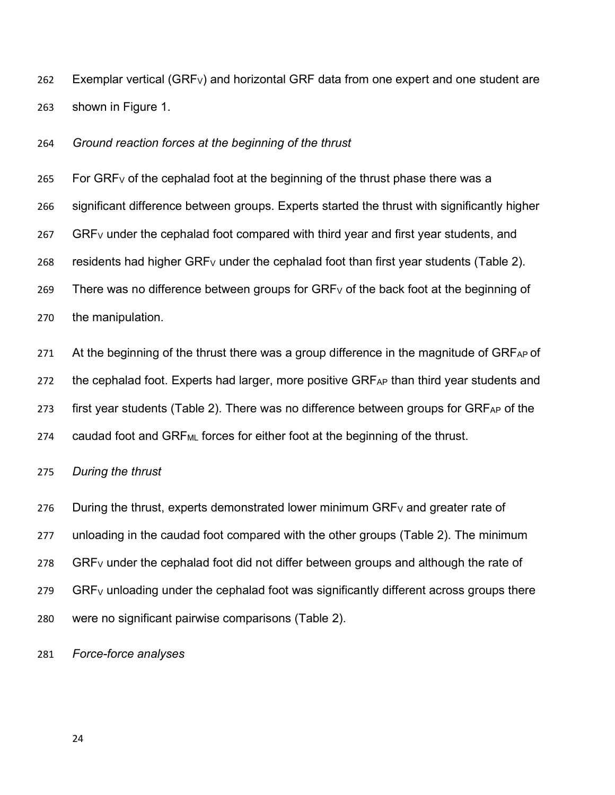262 Exemplar vertical (GRFV) and horizontal GRF data from one expert and one student are 263 shown in Figure 1.

264 *Ground reaction forces at the beginning of the thrust*

265 For GRF<sub>V</sub> of the cephalad foot at the beginning of the thrust phase there was a 266 significant difference between groups. Experts started the thrust with significantly higher 267 GRFV under the cephalad foot compared with third year and first year students, and 268 residents had higher GRF<sub>V</sub> under the cephalad foot than first year students (Table 2). 269 There was no difference between groups for  $GRF_V$  of the back foot at the beginning of 270 the manipulation.

271 At the beginning of the thrust there was a group difference in the magnitude of  $GRF_{AP}$  of

272 the cephalad foot. Experts had larger, more positive GRFAP than third year students and

273 first year students (Table 2). There was no difference between groups for  $GRF_{AP}$  of the

274 caudad foot and GRF<sub>ML</sub> forces for either foot at the beginning of the thrust.

275 *During the thrust*

276 During the thrust, experts demonstrated lower minimum  $GRF_V$  and greater rate of 277 unloading in the caudad foot compared with the other groups (Table 2). The minimum  $278$  GRF<sub>V</sub> under the cephalad foot did not differ between groups and although the rate of 279 GRF<sub>V</sub> unloading under the cephalad foot was significantly different across groups there 280 were no significant pairwise comparisons (Table 2).

281 *Force-force analyses*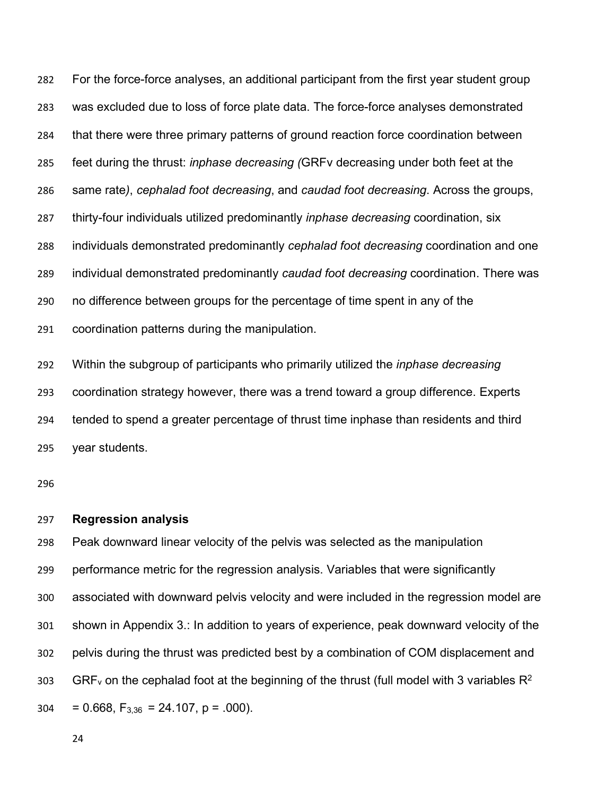For the force-force analyses, an additional participant from the first year student group was excluded due to loss of force plate data. The force-force analyses demonstrated that there were three primary patterns of ground reaction force coordination between feet during the thrust: *inphase decreasing (*GRFv decreasing under both feet at the same rate*)*, *cephalad foot decreasing*, and *caudad foot decreasing*. Across the groups, thirty-four individuals utilized predominantly *inphase decreasing* coordination, six individuals demonstrated predominantly *cephalad foot decreasing* coordination and one individual demonstrated predominantly *caudad foot decreasing* coordination. There was no difference between groups for the percentage of time spent in any of the coordination patterns during the manipulation.

 Within the subgroup of participants who primarily utilized the *inphase decreasing* coordination strategy however, there was a trend toward a group difference. Experts tended to spend a greater percentage of thrust time inphase than residents and third year students.

#### **Regression analysis**

 Peak downward linear velocity of the pelvis was selected as the manipulation performance metric for the regression analysis. Variables that were significantly associated with downward pelvis velocity and were included in the regression model are shown in Appendix 3.: In addition to years of experience, peak downward velocity of the pelvis during the thrust was predicted best by a combination of COM displacement and 303 GRF<sub>y</sub> on the cephalad foot at the beginning of the thrust (full model with 3 variables  $R^2$  $304 = 0.668$ ,  $F_{3,36} = 24.107$ ,  $p = .000$ ).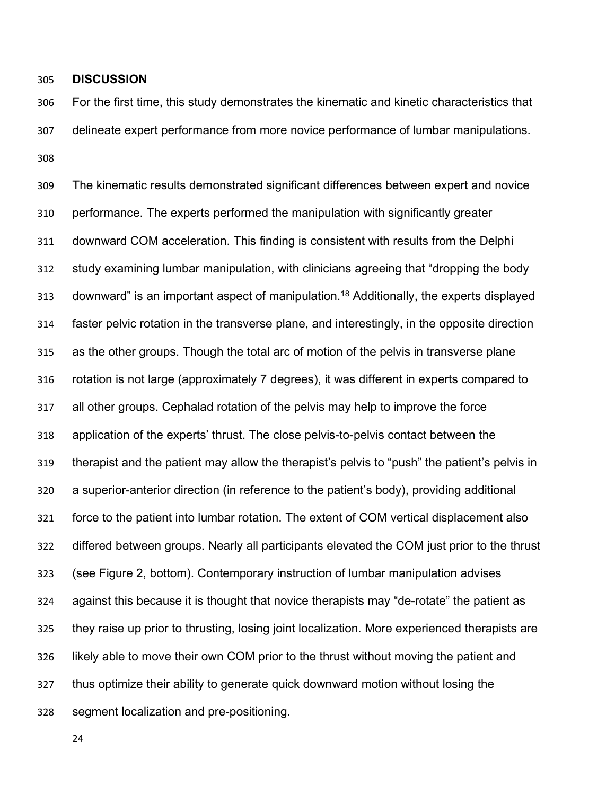**DISCUSSION**

 For the first time, this study demonstrates the kinematic and kinetic characteristics that delineate expert performance from more novice performance of lumbar manipulations. 

 The kinematic results demonstrated significant differences between expert and novice performance. The experts performed the manipulation with significantly greater downward COM acceleration. This finding is consistent with results from the Delphi study examining lumbar manipulation, with clinicians agreeing that "dropping the body 313 downward" is an important aspect of manipulation.<sup>18</sup> Additionally, the experts displayed faster pelvic rotation in the transverse plane, and interestingly, in the opposite direction as the other groups. Though the total arc of motion of the pelvis in transverse plane rotation is not large (approximately 7 degrees), it was different in experts compared to all other groups. Cephalad rotation of the pelvis may help to improve the force application of the experts' thrust. The close pelvis-to-pelvis contact between the therapist and the patient may allow the therapist's pelvis to "push" the patient's pelvis in a superior-anterior direction (in reference to the patient's body), providing additional force to the patient into lumbar rotation. The extent of COM vertical displacement also differed between groups. Nearly all participants elevated the COM just prior to the thrust (see Figure 2, bottom). Contemporary instruction of lumbar manipulation advises against this because it is thought that novice therapists may "de-rotate" the patient as they raise up prior to thrusting, losing joint localization. More experienced therapists are likely able to move their own COM prior to the thrust without moving the patient and thus optimize their ability to generate quick downward motion without losing the segment localization and pre-positioning.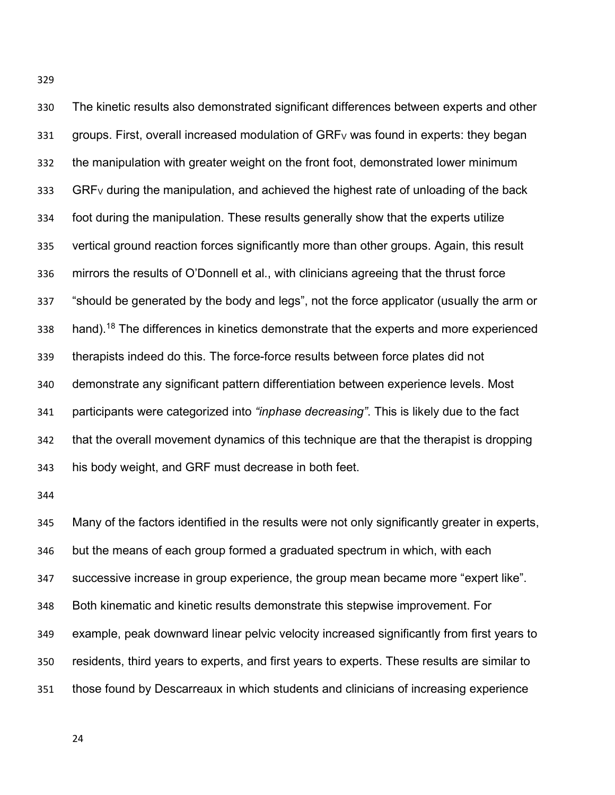The kinetic results also demonstrated significant differences between experts and other 331 groups. First, overall increased modulation of  $GRF_V$  was found in experts: they began the manipulation with greater weight on the front foot, demonstrated lower minimum GRF<sub>V</sub> during the manipulation, and achieved the highest rate of unloading of the back foot during the manipulation. These results generally show that the experts utilize vertical ground reaction forces significantly more than other groups. Again, this result mirrors the results of O'Donnell et al., with clinicians agreeing that the thrust force "should be generated by the body and legs", not the force applicator (usually the arm or 338 hand).<sup>18</sup> The differences in kinetics demonstrate that the experts and more experienced therapists indeed do this. The force-force results between force plates did not demonstrate any significant pattern differentiation between experience levels. Most participants were categorized into *"inphase decreasing"*. This is likely due to the fact that the overall movement dynamics of this technique are that the therapist is dropping his body weight, and GRF must decrease in both feet.

 Many of the factors identified in the results were not only significantly greater in experts, but the means of each group formed a graduated spectrum in which, with each successive increase in group experience, the group mean became more "expert like". Both kinematic and kinetic results demonstrate this stepwise improvement. For example, peak downward linear pelvic velocity increased significantly from first years to residents, third years to experts, and first years to experts. These results are similar to those found by Descarreaux in which students and clinicians of increasing experience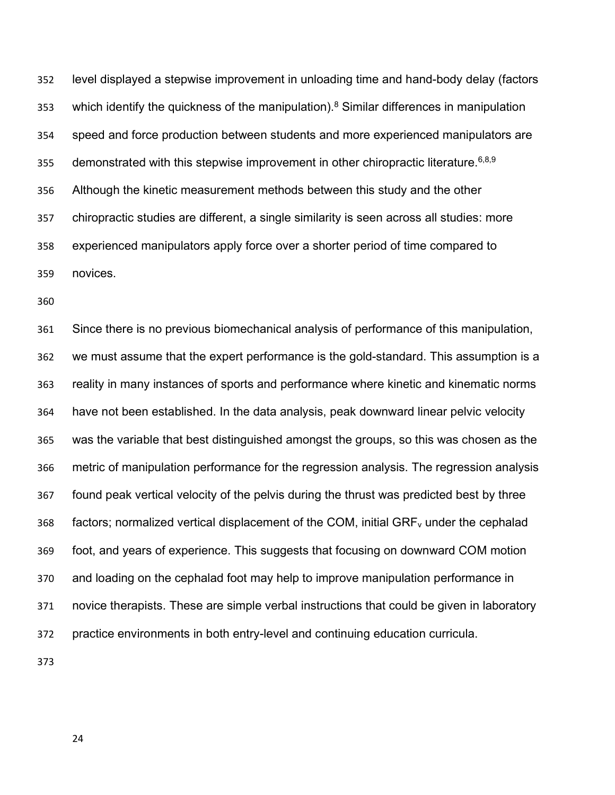level displayed a stepwise improvement in unloading time and hand-body delay (factors 353 which identify the quickness of the manipulation).<sup>8</sup> Similar differences in manipulation speed and force production between students and more experienced manipulators are 355 demonstrated with this stepwise improvement in other chiropractic literature.  $6,8,9$  Although the kinetic measurement methods between this study and the other chiropractic studies are different, a single similarity is seen across all studies: more experienced manipulators apply force over a shorter period of time compared to novices.

 Since there is no previous biomechanical analysis of performance of this manipulation, we must assume that the expert performance is the gold-standard. This assumption is a reality in many instances of sports and performance where kinetic and kinematic norms have not been established. In the data analysis, peak downward linear pelvic velocity was the variable that best distinguished amongst the groups, so this was chosen as the metric of manipulation performance for the regression analysis. The regression analysis found peak vertical velocity of the pelvis during the thrust was predicted best by three 368 factors; normalized vertical displacement of the COM, initial  $GRF_{v}$  under the cephalad foot, and years of experience. This suggests that focusing on downward COM motion and loading on the cephalad foot may help to improve manipulation performance in novice therapists. These are simple verbal instructions that could be given in laboratory practice environments in both entry-level and continuing education curricula.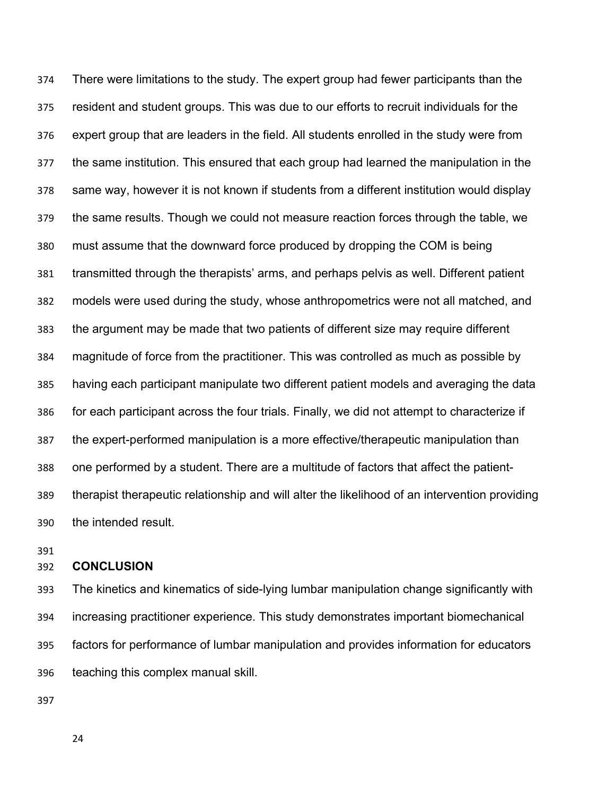There were limitations to the study. The expert group had fewer participants than the resident and student groups. This was due to our efforts to recruit individuals for the expert group that are leaders in the field. All students enrolled in the study were from the same institution. This ensured that each group had learned the manipulation in the same way, however it is not known if students from a different institution would display the same results. Though we could not measure reaction forces through the table, we must assume that the downward force produced by dropping the COM is being transmitted through the therapists' arms, and perhaps pelvis as well. Different patient models were used during the study, whose anthropometrics were not all matched, and the argument may be made that two patients of different size may require different magnitude of force from the practitioner. This was controlled as much as possible by having each participant manipulate two different patient models and averaging the data for each participant across the four trials. Finally, we did not attempt to characterize if the expert-performed manipulation is a more effective/therapeutic manipulation than one performed by a student. There are a multitude of factors that affect the patient- therapist therapeutic relationship and will alter the likelihood of an intervention providing the intended result.

#### **CONCLUSION**

 The kinetics and kinematics of side-lying lumbar manipulation change significantly with increasing practitioner experience. This study demonstrates important biomechanical factors for performance of lumbar manipulation and provides information for educators teaching this complex manual skill.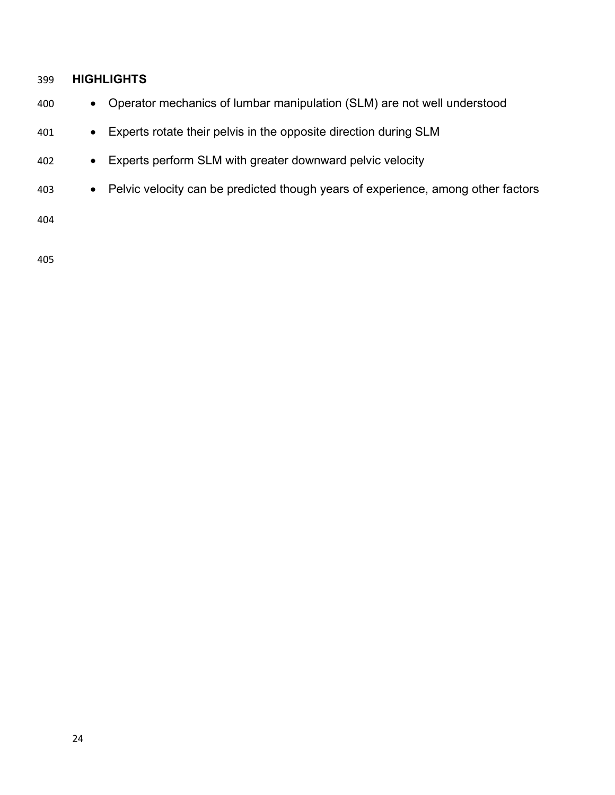## **HIGHLIGHTS**

- Operator mechanics of lumbar manipulation (SLM) are not well understood
- Experts rotate their pelvis in the opposite direction during SLM
- Experts perform SLM with greater downward pelvic velocity
- Pelvic velocity can be predicted though years of experience, among other factors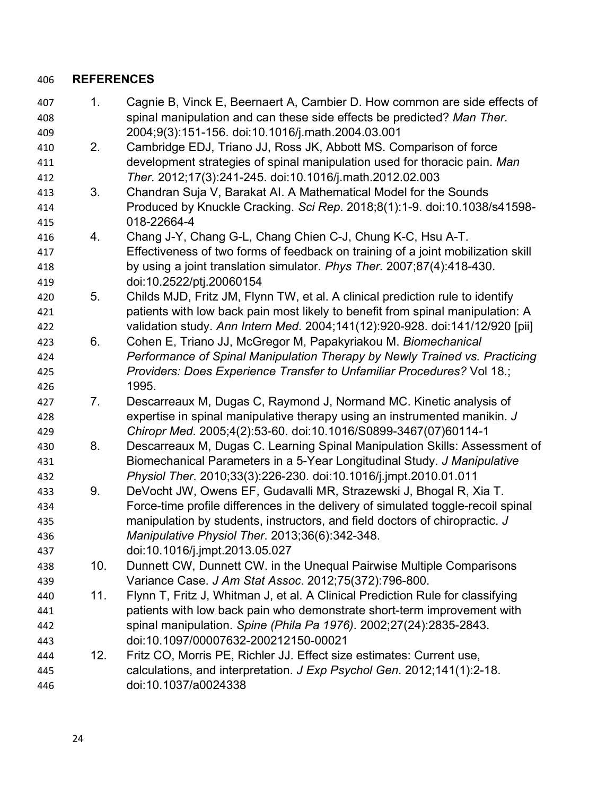### **REFERENCES**

- 1. Cagnie B, Vinck E, Beernaert A, Cambier D. How common are side effects of spinal manipulation and can these side effects be predicted? *Man Ther*. 2004;9(3):151-156. doi:10.1016/j.math.2004.03.001
- 2. Cambridge EDJ, Triano JJ, Ross JK, Abbott MS. Comparison of force development strategies of spinal manipulation used for thoracic pain. *Man Ther*. 2012;17(3):241-245. doi:10.1016/j.math.2012.02.003
- 3. Chandran Suja V, Barakat AI. A Mathematical Model for the Sounds Produced by Knuckle Cracking. *Sci Rep*. 2018;8(1):1-9. doi:10.1038/s41598- 018-22664-4
- 4. Chang J-Y, Chang G-L, Chang Chien C-J, Chung K-C, Hsu A-T. Effectiveness of two forms of feedback on training of a joint mobilization skill by using a joint translation simulator. *Phys Ther*. 2007;87(4):418-430. doi:10.2522/ptj.20060154
- 5. Childs MJD, Fritz JM, Flynn TW, et al. A clinical prediction rule to identify patients with low back pain most likely to benefit from spinal manipulation: A validation study. *Ann Intern Med*. 2004;141(12):920-928. doi:141/12/920 [pii]
- 6. Cohen E, Triano JJ, McGregor M, Papakyriakou M. *Biomechanical Performance of Spinal Manipulation Therapy by Newly Trained vs. Practicing Providers: Does Experience Transfer to Unfamiliar Procedures?* Vol 18.; 1995.
- 7. Descarreaux M, Dugas C, Raymond J, Normand MC. Kinetic analysis of expertise in spinal manipulative therapy using an instrumented manikin. *J Chiropr Med*. 2005;4(2):53-60. doi:10.1016/S0899-3467(07)60114-1
- 8. Descarreaux M, Dugas C. Learning Spinal Manipulation Skills: Assessment of Biomechanical Parameters in a 5-Year Longitudinal Study. *J Manipulative Physiol Ther*. 2010;33(3):226-230. doi:10.1016/j.jmpt.2010.01.011
- 9. DeVocht JW, Owens EF, Gudavalli MR, Strazewski J, Bhogal R, Xia T. Force-time profile differences in the delivery of simulated toggle-recoil spinal manipulation by students, instructors, and field doctors of chiropractic. *J Manipulative Physiol Ther*. 2013;36(6):342-348.
- doi:10.1016/j.jmpt.2013.05.027
- 10. Dunnett CW, Dunnett CW. in the Unequal Pairwise Multiple Comparisons Variance Case. *J Am Stat Assoc*. 2012;75(372):796-800.
- 11. Flynn T, Fritz J, Whitman J, et al. A Clinical Prediction Rule for classifying patients with low back pain who demonstrate short-term improvement with spinal manipulation. *Spine (Phila Pa 1976)*. 2002;27(24):2835-2843. doi:10.1097/00007632-200212150-00021
- 12. Fritz CO, Morris PE, Richler JJ. Effect size estimates: Current use, calculations, and interpretation. *J Exp Psychol Gen*. 2012;141(1):2-18. doi:10.1037/a0024338